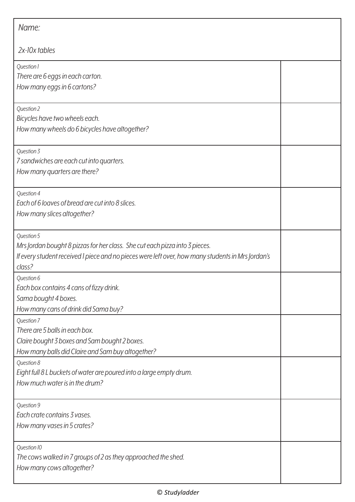| Name:                                                                                                                                                                                                    |  |
|----------------------------------------------------------------------------------------------------------------------------------------------------------------------------------------------------------|--|
| $2x$ -10 $x$ tables                                                                                                                                                                                      |  |
| Question 1<br>There are 6 eggs in each carton.<br>How many eggs in 6 cartons?                                                                                                                            |  |
| Question 2<br>Bicycles have two wheels each.<br>How many wheels do 6 bicycles have altogether?                                                                                                           |  |
| Question 3<br>7 sandwiches are each cut into quarters.<br>How many quarters are there?                                                                                                                   |  |
| Question 4<br>Each of 6 loaves of bread are cut into 8 slices.<br>How many slices altogether?                                                                                                            |  |
| Question 5<br>Mrs Jordan bought 8 pizzas for her class. She cut each pizza into 3 pieces.<br>If every student received I piece and no pieces were left over, how many students in Mrs Jordan's<br>class? |  |
| Question 6<br>Each box contains 4 cans of fizzy drink.<br>Sama bought 4 boxes.<br>How many cans of drink did Sama buy?                                                                                   |  |
| Question 7<br>There are 5 balls in each box.<br>Claire bought 3 boxes and Sam bought 2 boxes.<br>How many balls did Claire and Sam buy altogether?                                                       |  |
| Question 8<br>Eight full 8 L buckets of water are poured into a large empty drum.<br>How much water is in the drum?                                                                                      |  |
| Question 9<br>Each crate contains 3 vases.<br>How many vases in 5 crates?                                                                                                                                |  |
| Question 10<br>The cows walked in 7 groups of 2 as they approached the shed.<br>How many cows altogether?                                                                                                |  |